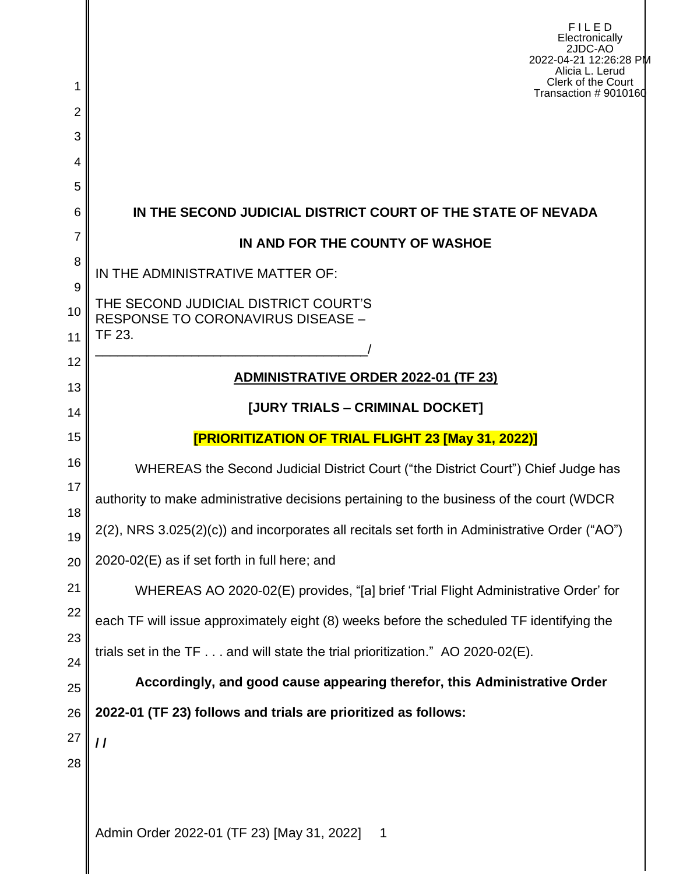| 1<br>$\overline{2}$ | <b>FILED</b><br>Electronically<br>2JDC-AO<br>2022-04-21 12:26:28 PM<br>Alicia L. Lerud<br>Clerk of the Court<br>Transaction #9010160 |
|---------------------|--------------------------------------------------------------------------------------------------------------------------------------|
| 3                   |                                                                                                                                      |
| 4                   |                                                                                                                                      |
| 5                   |                                                                                                                                      |
| 6                   | IN THE SECOND JUDICIAL DISTRICT COURT OF THE STATE OF NEVADA                                                                         |
| 7                   | IN AND FOR THE COUNTY OF WASHOE                                                                                                      |
| 8                   | IN THE ADMINISTRATIVE MATTER OF:                                                                                                     |
| 9<br>10             | THE SECOND JUDICIAL DISTRICT COURT'S<br>RESPONSE TO CORONAVIRUS DISEASE -                                                            |
| 11                  | TF 23.                                                                                                                               |
| 12<br>13            | ADMINISTRATIVE ORDER 2022-01 (TF 23)                                                                                                 |
| 14                  | [JURY TRIALS - CRIMINAL DOCKET]                                                                                                      |
| 15                  | <b>[PRIORITIZATION OF TRIAL FLIGHT 23 [May 31, 2022)]</b>                                                                            |
| 16                  | WHEREAS the Second Judicial District Court ("the District Court") Chief Judge has                                                    |
| 17                  | authority to make administrative decisions pertaining to the business of the court (WDCR                                             |
| 18<br>19            | 2(2), NRS 3.025(2)(c)) and incorporates all recitals set forth in Administrative Order ("AO")                                        |
| 20                  | 2020-02(E) as if set forth in full here; and                                                                                         |
| 21                  | WHEREAS AO 2020-02(E) provides, "[a] brief 'Trial Flight Administrative Order' for                                                   |
| 22                  | each TF will issue approximately eight (8) weeks before the scheduled TF identifying the                                             |
| 23                  | trials set in the $TF \dots$ and will state the trial prioritization." AO 2020-02(E).                                                |
| 24<br>25            | Accordingly, and good cause appearing therefor, this Administrative Order                                                            |
| 26                  | 2022-01 (TF 23) follows and trials are prioritized as follows:                                                                       |
| 27                  | $\prime\prime$                                                                                                                       |
| 28                  |                                                                                                                                      |
|                     | Admin Order 2022-01 (TF 23) [May 31, 2022]<br>$\overline{\phantom{1}}$                                                               |